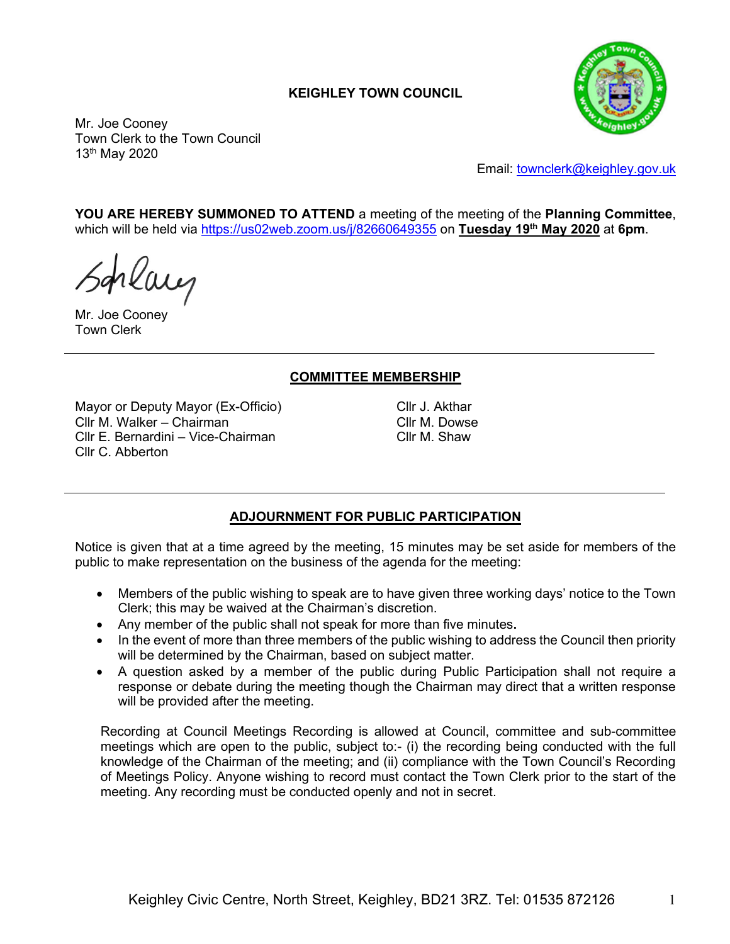## **KEIGHLEY TOWN COUNCIL**



Mr. Joe Cooney Town Clerk to the Town Council 13th May 2020

Email: [townclerk@keighley.gov.uk](mailto:townclerk@keighley.gov.uk)

**YOU ARE HEREBY SUMMONED TO ATTEND** a meeting of the meeting of the **Planning Committee**, which will be held via <https://us02web.zoom.us/j/82660649355> on **Tuesday 19th May 2020** at **6pm**.

Schlaug

Mr. Joe Cooney Town Clerk

### **COMMITTEE MEMBERSHIP**

Mayor or Deputy Mayor (Ex-Officio) Cllr M. Walker – Chairman Cllr E. Bernardini – Vice-Chairman Cllr C. Abberton

Cllr J. Akthar Cllr M. Dowse Cllr M. Shaw

## **ADJOURNMENT FOR PUBLIC PARTICIPATION**

Notice is given that at a time agreed by the meeting, 15 minutes may be set aside for members of the public to make representation on the business of the agenda for the meeting:

- Members of the public wishing to speak are to have given three working days' notice to the Town Clerk; this may be waived at the Chairman's discretion.
- Any member of the public shall not speak for more than five minutes**.**
- In the event of more than three members of the public wishing to address the Council then priority will be determined by the Chairman, based on subject matter.
- A question asked by a member of the public during Public Participation shall not require a response or debate during the meeting though the Chairman may direct that a written response will be provided after the meeting.

Recording at Council Meetings Recording is allowed at Council, committee and sub-committee meetings which are open to the public, subject to:- (i) the recording being conducted with the full knowledge of the Chairman of the meeting; and (ii) compliance with the Town Council's Recording of Meetings Policy. Anyone wishing to record must contact the Town Clerk prior to the start of the meeting. Any recording must be conducted openly and not in secret.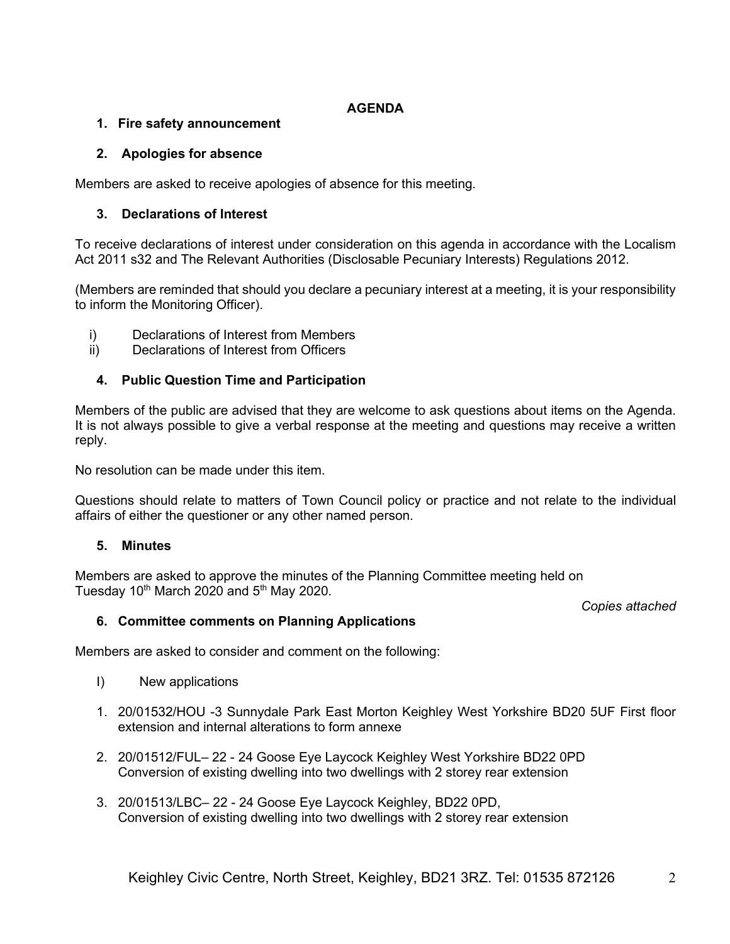### **AGENDA**

# **1. Fire safety announcement**

### **2. Apologies for absence**

Members are asked to receive apologies of absence for this meeting.

### **3. Declarations of Interest**

To receive declarations of interest under consideration on this agenda in accordance with the Localism Act 2011 s32 and The Relevant Authorities (Disclosable Pecuniary Interests) Regulations 2012.

(Members are reminded that should you declare a pecuniary interest at a meeting, it is your responsibility to inform the Monitoring Officer).

- i) Declarations of Interest from Members
- ii) Declarations of Interest from Officers

# **4. Public Question Time and Participation**

Members of the public are advised that they are welcome to ask questions about items on the Agenda. It is not always possible to give a verbal response at the meeting and questions may receive a written reply.

No resolution can be made under this item.

Questions should relate to matters of Town Council policy or practice and not relate to the individual affairs of either the questioner or any other named person.

#### **5. Minutes**

Members are asked to approve the minutes of the Planning Committee meeting held on Tuesday  $10^{th}$  March 2020 and  $5^{th}$  May 2020.

*Copies attached*

#### **6. Committee comments on Planning Applications**

Members are asked to consider and comment on the following:

- I) New applications
- 1. 20/01532/HOU -3 Sunnydale Park East Morton Keighley West Yorkshire BD20 5UF First floor extension and internal alterations to form annexe
- 2. 20/01512/FUL– 22 24 Goose Eye Laycock Keighley West Yorkshire BD22 0PD Conversion of existing dwelling into two dwellings with 2 storey rear extension
- 3. 20/01513/LBC– 22 24 Goose Eye Laycock Keighley, BD22 0PD, Conversion of existing dwelling into two dwellings with 2 storey rear extension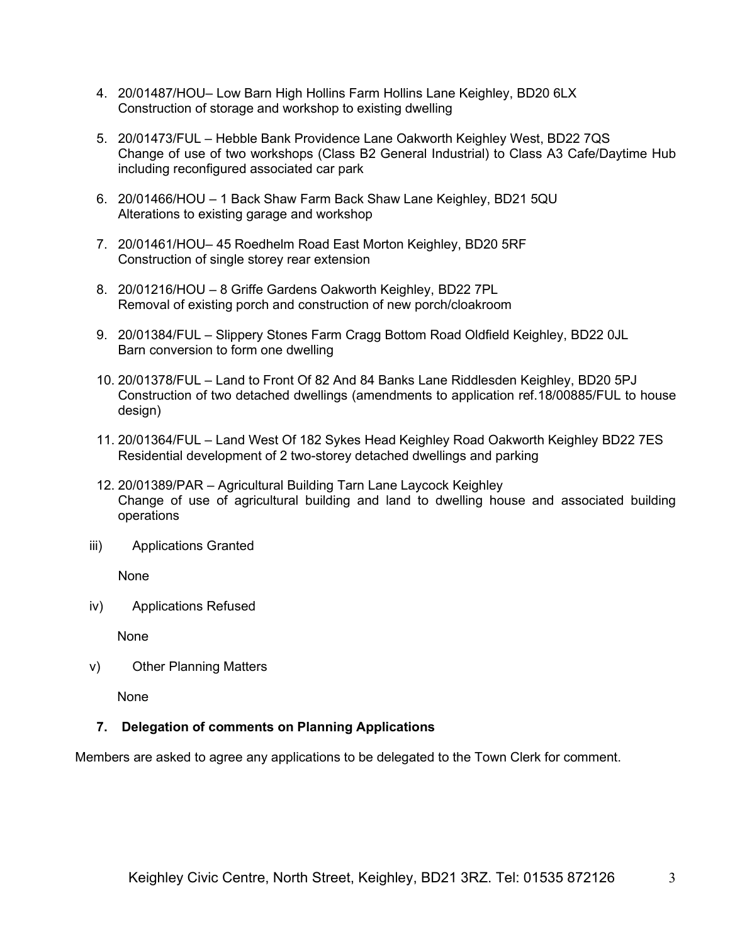- 4. 20/01487/HOU– Low Barn High Hollins Farm Hollins Lane Keighley, BD20 6LX Construction of storage and workshop to existing dwelling
- 5. 20/01473/FUL Hebble Bank Providence Lane Oakworth Keighley West, BD22 7QS Change of use of two workshops (Class B2 General Industrial) to Class A3 Cafe/Daytime Hub including reconfigured associated car park
- 6. 20/01466/HOU 1 Back Shaw Farm Back Shaw Lane Keighley, BD21 5QU Alterations to existing garage and workshop
- 7. 20/01461/HOU– 45 Roedhelm Road East Morton Keighley, BD20 5RF Construction of single storey rear extension
- 8. 20/01216/HOU 8 Griffe Gardens Oakworth Keighley, BD22 7PL Removal of existing porch and construction of new porch/cloakroom
- 9. 20/01384/FUL Slippery Stones Farm Cragg Bottom Road Oldfield Keighley, BD22 0JL Barn conversion to form one dwelling
- 10. 20/01378/FUL Land to Front Of 82 And 84 Banks Lane Riddlesden Keighley, BD20 5PJ Construction of two detached dwellings (amendments to application ref.18/00885/FUL to house design)
- 11. 20/01364/FUL Land West Of 182 Sykes Head Keighley Road Oakworth Keighley BD22 7ES Residential development of 2 two-storey detached dwellings and parking
- 12. 20/01389/PAR Agricultural Building Tarn Lane Laycock Keighley Change of use of agricultural building and land to dwelling house and associated building operations
- iii) Applications Granted

None

iv) Applications Refused

None

v) Other Planning Matters

None

#### **7. Delegation of comments on Planning Applications**

Members are asked to agree any applications to be delegated to the Town Clerk for comment.